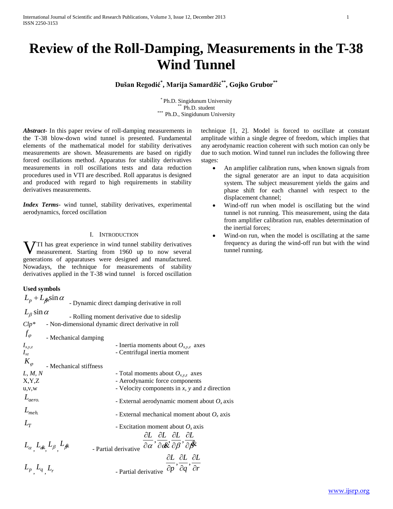# **Review of the Roll-Damping, Measurements in the T-38 Wind Tunnel**

**Dušan Regodić\* , Marija Samardžić\*\* , Gojko Grubor\*\***

\* Ph.D. Singidunum University Ph.D. student \*\*\* Ph.D., Singidunum University

*Abstract***-** In this paper review of roll-damping measurements in the T-38 blow-down wind tunnel is presented. Fundamental elements of the mathematical model for stability derivatives measurements are shown. Measurements are based on rigidly forced oscillations method. Apparatus for stability derivatives measurements in roll oscillations tests and data reduction procedures used in VTI are described. Roll apparatus is designed and produced with regard to high requirements in stability derivatives measurements.

*Index Terms*- wind tunnel, stability derivatives, experimental aerodynamics, forced oscillation

### I. INTRODUCTION

**V**TI has great experience in wind tunnel stability derivatives measurement. Starting from 1960 up to now several measurement. Starting from 1960 up to now several generations of apparatuses were designed and manufactured. Nowadays, the technique for measurements of stability derivatives applied in the T-38 wind tunnel is forced oscillation

#### **Used symbols**

| $L_p + L_{\beta} \sin \alpha$                                                                              | - Dynamic direct damping derivative in roll                                                                                                  |  |  |  |
|------------------------------------------------------------------------------------------------------------|----------------------------------------------------------------------------------------------------------------------------------------------|--|--|--|
| $L_\beta$ sin $\alpha$                                                                                     |                                                                                                                                              |  |  |  |
| - Rolling moment derivative due to sideslip<br>$Clp^*$ - Non-dimensional dynamic direct derivative in roll |                                                                                                                                              |  |  |  |
| $f_{\varphi}$<br>- Mechanical damping                                                                      |                                                                                                                                              |  |  |  |
| $I_{x,y,z}$<br>$I_{xz}$                                                                                    | - Inertia moments about $O_{x,y,z}$ axes<br>- Centrifugal inertia moment                                                                     |  |  |  |
| $K_{\varphi}$<br>- Mechanical stiffness                                                                    |                                                                                                                                              |  |  |  |
| L, M, N                                                                                                    | - Total moments about $O_{x,y,z}$ axes                                                                                                       |  |  |  |
| X, Y, Z                                                                                                    | - Aerodynamic force components                                                                                                               |  |  |  |
| u, v, w                                                                                                    | - Velocity components in $x$ , $y$ and $z$ direction                                                                                         |  |  |  |
| $L_{aero.}$                                                                                                | - External aerodynamic moment about $O_x$ axis                                                                                               |  |  |  |
| $L_{\text{meh}}$                                                                                           | - External mechanical moment about $O_x$ axis                                                                                                |  |  |  |
| $L_{\tau}$                                                                                                 | - Excitation moment about $O_x$ axis                                                                                                         |  |  |  |
|                                                                                                            | ∂L ∂L ∂L ∂L                                                                                                                                  |  |  |  |
| $L_{\alpha}$ , $L_{\alpha}$ , $L_{\beta}$ , $L_{\beta}$                                                    | - Partial derivative $\overline{\partial \alpha}$ , $\overline{\partial \alpha}$ , $\overline{\partial \beta}$ , $\overline{\partial \beta}$ |  |  |  |
|                                                                                                            | $\partial L$ $\partial L$ $\partial L$                                                                                                       |  |  |  |
| $L_p$ , $L_q$ , $L_r$                                                                                      | - Partial derivative $\overline{\partial p}$ , $\overline{\partial q}$ , $\overline{\partial r}$                                             |  |  |  |

technique [1, 2]. Model is forced to oscillate at constant amplitude within a single degree of freedom, which implies that any aerodynamic reaction coherent with such motion can only be due to such motion. Wind tunnel run includes the following three stages:

- An amplifier calibration runs, when known signals from the signal generator are an input to data acquisition system. The subject measurement yields the gains and phase shift for each channel with respect to the displacement channel;
- Wind-off run when model is oscillating but the wind tunnel is not running. This measurement, using the data from amplifier calibration run, enables determination of the inertial forces;
- Wind-on run, when the model is oscillating at the same frequency as during the wind-off run but with the wind tunnel running.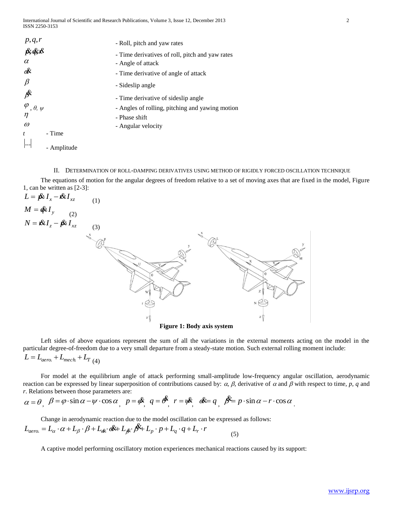| p,q,r<br>fx&x                         | - Roll, pitch and yaw rates                                          |
|---------------------------------------|----------------------------------------------------------------------|
| $\alpha$                              | - Time derivatives of roll, pitch and yaw rates<br>- Angle of attack |
| ox                                    | - Time derivative of angle of attack                                 |
| $\beta$                               | - Sideslip angle                                                     |
| $\beta^{\!\!\aleph}$                  | - Time derivative of sideslip angle                                  |
| $\varphi_{\, , \, \theta , \, \psi}$  | - Angles of rolling, pitching and yawing motion                      |
| $\eta$                                | - Phase shift                                                        |
| $\omega$                              | - Angular velocity                                                   |
| - Time<br>t                           |                                                                      |
| $\left  \dots \right $<br>- Amplitude |                                                                      |

II. DETERMINATION OF ROLL-DAMPING DERIVATIVES USING METHOD OF RIGIDLY FORCED OSCILLATION TECHNIQUE

 The equations of motion for the angular degrees of freedom relative to a set of moving axes that are fixed in the model, Figure 1, can be written as [2-3]:



 Left sides of above equations represent the sum of all the variations in the external moments acting on the model in the particular degree-of-freedom due to a very small departure from a steady-state motion. Such external rolling moment include:  $L = L_{aero.} + L_{mech} + L_{T(4)}$ 

 For model at the equilibrium angle of attack performing small-amplitude low-frequency angular oscillation, aerodynamic reaction can be expressed by linear superposition of contributions caused by:  $\alpha$ ,  $\beta$ , derivative of  $\alpha$  and  $\beta$  with respect to time,  $p$ ,  $q$  and *r*. Relations between those parameters are:

$$
\alpha = \theta, \ \beta = \varphi \cdot \sin \alpha - \psi \cdot \cos \alpha, \ \ p = \varphi, \ \ q = \varphi, \ \ r = \psi, \ \ \varphi = q, \ \ \varphi = p \cdot \sin \alpha - r \cdot \cos \alpha
$$

 Change in aerodynamic reaction due to the model oscillation can be expressed as follows:  $L_{aero.} = L_{\alpha} \cdot \alpha + L_{\beta} \cdot \beta + L_{\alpha} \cdot \alpha + L_{\beta} \cdot \beta + L_{\gamma} \cdot p + L_{q} \cdot q + L_{r} \cdot r$ (5)

A captive model performing oscillatory motion experiences mechanical reactions caused by its support: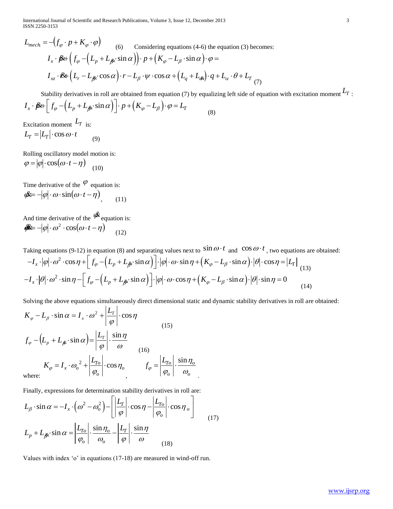International Journal of Scientific and Research Publications, Volume 3, Issue 12, December 2013 3 ISSN 2250-3153

$$
L_{mech} = -(f_{\varphi} \cdot p + K_{\varphi} \cdot \varphi)
$$
\n(6) Considering equations (4-6) the equation (3) becomes:  
\n
$$
I_x \cdot \mathbf{R} + \left( f_{\varphi} - (L_p + L_{\beta} \cdot \sin \alpha) \right) \cdot p + \left( K_{\varphi} - L_{\beta} \cdot \sin \alpha \right) \cdot \varphi =
$$
\n
$$
I_{xz} \cdot \mathbf{R} + \left( L_r - L_{\beta} \cdot \cos \alpha \right) \cdot r - L_{\beta} \cdot \psi \cdot \cos \alpha + \left( L_q + L_{\alpha} \right) \cdot q + L_{\alpha} \cdot \theta + L_{T} \tag{7}
$$

Stability derivatives in roll are obtained from equation (7) by equalizing left side of equation with excitation moment  $L_T$ .

Stability derivatives in roll are obtained from equation (7) by equalizing  
\n
$$
I_x \cdot \mathbf{\beta} + \left[ f_{\varphi} - (L_p + L_{\beta} \cdot \sin \alpha) \right] \cdot p + (K_{\varphi} - L_{\beta}) \cdot \varphi = L_T
$$
\nExcitation moment  $L_T$  is:

\n
$$
I = \frac{1}{2} \int_{-\infty}^{\infty} \frac{1}{2} \cdot \frac{1}{2} \cdot \frac{1}{2} \cdot \frac{1}{2} \cdot \frac{1}{2} \cdot \frac{1}{2} \cdot \frac{1}{2} \cdot \frac{1}{2} \cdot \frac{1}{2} \cdot \frac{1}{2} \cdot \frac{1}{2} \cdot \frac{1}{2} \cdot \frac{1}{2} \cdot \frac{1}{2} \cdot \frac{1}{2} \cdot \frac{1}{2} \cdot \frac{1}{2} \cdot \frac{1}{2} \cdot \frac{1}{2} \cdot \frac{1}{2} \cdot \frac{1}{2} \cdot \frac{1}{2} \cdot \frac{1}{2} \cdot \frac{1}{2} \cdot \frac{1}{2} \cdot \frac{1}{2} \cdot \frac{1}{2} \cdot \frac{1}{2} \cdot \frac{1}{2} \cdot \frac{1}{2} \cdot \frac{1}{2} \cdot \frac{1}{2} \cdot \frac{1}{2} \cdot \frac{1}{2} \cdot \frac{1}{2} \cdot \frac{1}{2} \cdot \frac{1}{2} \cdot \frac{1}{2} \cdot \frac{1}{2} \cdot \frac{1}{2} \cdot \frac{1}{2} \cdot \frac{1}{2} \cdot \frac{1}{2} \cdot \frac{1}{2} \cdot \frac{1}{2} \cdot \frac{1}{2} \cdot \frac{1}{2} \cdot \frac{1}{2} \cdot \frac{1}{2} \cdot \frac{1}{2} \cdot \frac{1}{2} \cdot \frac{1}{2} \cdot \frac{1}{2} \cdot \frac{1}{2} \cdot \frac{1}{2} \cdot \frac{1}{2} \cdot \frac{1}{2} \cdot \frac{1}{2} \cdot \frac{1}{2} \cdot \frac{1}{2} \cdot \frac{1}{2} \cdot \frac{1}{2} \cdot \frac{1}{2} \cdot \frac{1}{2} \cdot \frac{1}{2} \cdot \frac{1}{2} \cdot \frac{1}{2} \cdot \frac{1}{2} \cdot \frac{1}{2} \cdot \frac{1}{2}
$$

 $L_T = |L_T| \cdot \cos \omega \cdot t$ (9)

Rolling oscillatory model motion is:

$$
\varphi = |\varphi| \cdot \cos(\omega \cdot t - \eta) \tag{10}
$$

Time derivative of the  $\varphi$  equation is:  $\phi \mathcal{L} = -|\varphi| \cdot \omega \cdot \sin(\omega \cdot t - \eta),$  $(11)$ 

And time derivative of the  $\mathscr{R}$  equation is:  $\mathcal{R} = -|\varphi| \cdot \omega^2 \cdot \cos(\omega \cdot t - \eta)$  $(12)$ 

Taking equations (9-12) in equation (8) and separating values next to  $\sin \omega \cdot t$  and  $\cos \omega \cdot t$ , two equations are obtained:

$$
\mathbf{g} = -|\varphi| \cdot \omega^2 \cdot \cos(\omega \cdot t - \eta) \tag{12}
$$
\nTaking equations (9-12) in equation (8) and separating values next to  $\sin \omega \cdot t$  and  $\cos \omega \cdot t$ , two equations are obtain\n
$$
-I_x \cdot |\varphi| \cdot \omega^2 \cdot \cos \eta + \left[ f_\varphi - \left( L_p + L_{\beta} \cdot \sin \alpha \right) \right] \cdot |\varphi| \cdot \omega \cdot \sin \eta + \left( K_\varphi - L_\beta \cdot \sin \alpha \right) \cdot |\theta| \cdot \cos \eta = |L_T| \tag{13}
$$
\n
$$
-I_x \cdot |\theta| \cdot \omega^2 \cdot \sin \eta - \left[ f_\varphi - \left( L_p + L_{\beta} \cdot \sin \alpha \right) \right] \cdot |\varphi| \cdot \omega \cdot \cos \eta + \left( K_\varphi - L_\beta \cdot \sin \alpha \right) \cdot |\theta| \cdot \sin \eta = 0 \tag{14}
$$

Solving the above equations simultaneously direct dimensional static and dynamic stability derivatives in roll are obtained:  $|I|$ 

.

$$
I_{\text{succ}} = -\left(f_{\phi} \cdot p + K_{\phi} \cdot \varphi\right) \qquad (6) \qquad \text{Considering equations (4-6) the equation (3) becomes:}
$$
\n
$$
I_{x} \cdot \beta k + \left(f_{\phi} - \left(L_{\rho} + L_{\phi} \cdot \sin \alpha\right)\right) \cdot p + \left(K_{\phi} - L_{\phi} \cdot \sin \alpha\right) \cdot \varphi =
$$
\n
$$
I_{x} \cdot \beta k + \left(f_{\phi} - L_{\phi} \cdot \cos \alpha\right) \cdot r - L_{\beta} \cdot \psi \cdot \cos \alpha + \left(L_{\gamma} + L_{\phi}\right) \cdot q + L_{\nu} \cdot \vartheta + L_{\tau} \tag{7}
$$
\nSubility derivatives in roll are obtained from equation (7) by equalizing left side of equation with excitation moment  $I_{T}$  is:

\n
$$
I_{x} \cdot \beta k + \left[f_{\phi} - \left(L_{\rho} + L_{\phi} \cdot \sin \alpha\right)\right] \cdot p + \left(K_{\phi} - L_{\phi}\right) \cdot \varphi = L_{T} \tag{8}
$$
\nExtiction moment  $I_{T}$  is:

\n
$$
I_{T} = |I_{T}| \cdot \cos \omega \cdot t \qquad (9)
$$
\nRolling oscillatory model motion is:

\n
$$
\varphi = |\varphi| \cdot \cos \omega \cdot t \qquad (9)
$$
\nand time derivative of the  $\varphi$  equation is:

\n
$$
\varphi = -|\varphi| \cdot \omega^{2} \cdot \cos(\omega \cdot t - \eta)\qquad (11)
$$
\nAnd time derivative of the  $\varphi$  equation is:

\n
$$
-I_{x} \cdot |\varphi| \cdot \omega^{2} \cdot \cos(\omega \cdot t - \eta)\qquad (12)
$$
\nTaking equations (9-12) in equation (8) and separating values next to  $\sin \omega \cdot t$  and  $\cos \omega \cdot t$ , two equations are obtained:  $-I_{x} \cdot |\varphi| \cdot \omega^{2} \cdot \cos \eta + \left[f_{\phi} - \left(L_{\rho} + L_{\phi} \cdot \sin \alpha\right)\right] \cdot |\varphi| \cdot \omega \cdot \cos \eta + \left(K_{\phi} - L_{\phi} \cdot \sin \alpha\right) \cdot |\vartheta| \cdot \sin \eta$ 

Finally, expressions for determination stability derivatives in roll are:  
\n
$$
L_{\beta} \cdot \sin \alpha = -I_x \cdot (\omega^2 - \omega_o^2) - \left[ \left| \frac{L_T}{\varphi} \right| \cdot \cos \eta - \left| \frac{L_{T_o}}{\varphi_o} \right| \cdot \cos \eta_o \right]
$$
\n
$$
L_p + L_{\beta} \cdot \sin \alpha = \left| \frac{L_{T_o}}{\varphi_o} \right| \cdot \frac{\sin \eta_o}{\omega_o} - \left| \frac{L_T}{\varphi} \right| \cdot \frac{\sin \eta}{\omega} \tag{18}
$$

Values with index 'o' in equations (17-18) are measured in wind-off run.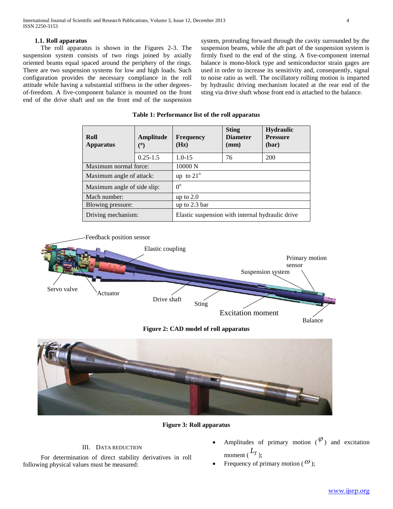# **1.1. Roll apparatus**

 The roll apparatus is shown in the Figures 2-3. The suspension system consists of two rings joined by axially oriented beams equal spaced around the periphery of the rings. There are two suspension systems for low and high loads. Such configuration provides the necessary compliance in the roll attitude while having a substantial stiffness in the other degreesof-freedom. A five-component balance is mounted on the front end of the drive shaft and on the front end of the suspension

system, protruding forward through the cavity surrounded by the suspension beams, while the aft part of the suspension system is firmly fixed to the end of the sting. A five-component internal balance is mono-block type and semiconductor strain gages are used in order to increase its sensitivity and, consequently, signal to noise ratio as well. The oscillatory rolling motion is imparted by hydraulic driving mechanism located at the rear end of the sting via drive shaft whose front end is attached to the balance.

| Roll<br>Apparatus           | Amplitude<br>(°) | <b>Frequency</b><br>(Hz)                         | <b>Sting</b><br><b>Diameter</b><br>(mm) | <b>Hydraulic</b><br><b>Pressure</b><br>(bar) |  |
|-----------------------------|------------------|--------------------------------------------------|-----------------------------------------|----------------------------------------------|--|
|                             | $0.25 - 1.5$     | $1.0 - 15$                                       | 76                                      | 200                                          |  |
| Maximum normal force:       |                  | 10000 N                                          |                                         |                                              |  |
| Maximum angle of attack:    |                  | up to $21^\circ$                                 |                                         |                                              |  |
| Maximum angle of side slip: |                  | $0^{\circ}$                                      |                                         |                                              |  |
| Mach number:                |                  | up to $2.0$                                      |                                         |                                              |  |
| Blowing pressure:           |                  | up to $2.3$ bar                                  |                                         |                                              |  |
| Driving mechanism:          |                  | Elastic suspension with internal hydraulic drive |                                         |                                              |  |

#### **Table 1: Performance list of the roll apparatus**







# **Figure 3: Roll apparatus**

# III. DATA REDUCTION

 For determination of direct stability derivatives in roll following physical values must be measured:

- Amplitudes of primary motion  $(\varphi)$  and excitation moment  $(L_T)$ ;
- Frequency of primary motion ( $\omega$ );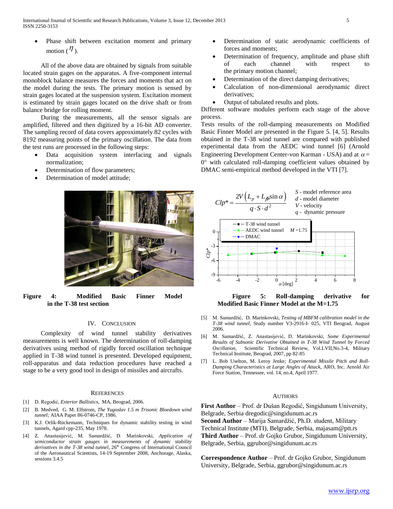Phase shift between excitation moment and primary motion ( $\eta$ ).

 All of the above data are obtained by signals from suitable located strain gages on the apparatus. A five-component internal monoblock balance measures the forces and moments that act on the model during the tests. The primary motion is sensed by strain gages located at the suspension system. Excitation moment is estimated by strain gages located on the drive shaft or from balance bridge for rolling moment.

 During the measurements, all the sensor signals are amplified, filtered and then digitized by a 16-bit AD converter. The sampling record of data covers approximately 82 cycles with 8192 measuring points of the primary oscillation. The data from the test runs are processed in the following steps:

- Data acquisition system interfacing and signals normalization;
- Determination of flow parameters;
- Determination of model attitude;



**Figure 4: Modified Basic Finner Model Figure 5: Roll-damping derivative for in the T-38 test section and Section Contract Section Model at the M=1.75** Modified Basic Finner Model at the M=1.75

#### IV. CONCLUSION

 Complexity of wind tunnel stability derivatives measurements is well known. The determination of roll-damping derivatives using method of rigidly forced oscillation technique applied in T-38 wind tunnel is presented. Developed equipment, roll-apparatus and data reduction procedures have reached a stage to be a very good tool in design of missiles and aircrafts.

#### **REFERENCES**

- [1] D. Regodić, *Exterior Ballistics*, MA, Beograd, 2006.
- [2] B. Medved, G. M. Elfstrom, *The Yugoslav 1.5 m Trisonic Bloedown wind tunnel;* AIAA Paper 86-0746-CP, 1986.
- [3] K.J. Orlik-Rückemann, Techniques for dynamic stability testing in wind tunnels, Agard cpp-235, May 1978.
- [4] Z. Anastasijević, M. Samardžić, D. Marinkovski, *Application of semiconductor strain gauges in measurements of dynamic stability derivatives in the T-38 wind tunnel*,  $26<sup>th</sup>$  Congress of International Council of the Aeronautical Scientists, 14-19 September 2008, Anchorage, Alaska, sessions 3.4.5
- Determination of static aerodynamic coefficients of forces and moments;
- Determination of frequency, amplitude and phase shift of each channel with respect to the primary motion channel;
- Determination of the direct damping derivatives;
- Calculation of non-dimensional aerodynamic direct derivatives;
- Output of tabulated results and plots.

Different software modules perform each stage of the above process.

Tests results of the roll-damping measurements on Modified Basic Finner Model are presented in the Figure 5. [4, 5]. Results obtained in the T-38 wind tunnel are compared with published experimental data from the AEDC wind tunnel [6] (Arnold Engineering Development Center-von Karman - USA) and at  $\alpha$  =  $0^{\circ}$  with calculated roll-damping coefficient values obtained by DMAC semi-empirical method developed in the VTI [7].



- [5] M. Samardžić, D. Marinkovski, *Testing of MBFM calibration model in the T-38 wind tunnel,* Study number V3-2916-I- 025, VTI Beograd, August 2006.
- [6] M. Samardžić, Z. Anastasijević, D. Marinkovski, *Some Experimental Results of Subsonic Derivative Obtained in T-38 Wind Tunnel by Forced Oscillation,* Scientific Technical Review, Vol.LVII,No.3-4, Military Technical Institute, Beograd, 2007, pp 82-85
- [7] L*.* Bob Uselton, M. Leroy Jenke*; Experimental Missile Pitch and Roll-Damping Characteristics at Large Angles of Attack,* ARO, Inc. Arnold Air Force Station, Tennessee, vol. 14, no.4, April 1977.

#### AUTHORS

**First Author** – Prof. dr Dušan Regodić, Singidunum University, Belgrade, Serbia dregodic@singidunum.ac.rs

**Second Author** – Marija Samardžić, Ph.D. student, Military Technical Institute (MTI), Belgrade, Serbia, majasam@ptt.rs **Third Author** – Prof. dr Gojko Grubor, Singidunum University, Belgrade, Serbia, ggrubor@singidunum.ac.rs

**Correspondence Author** – Prof. dr Gojko Grubor, Singidunum University, Belgrade, Serbia, ggrubor@singidunum.ac.rs